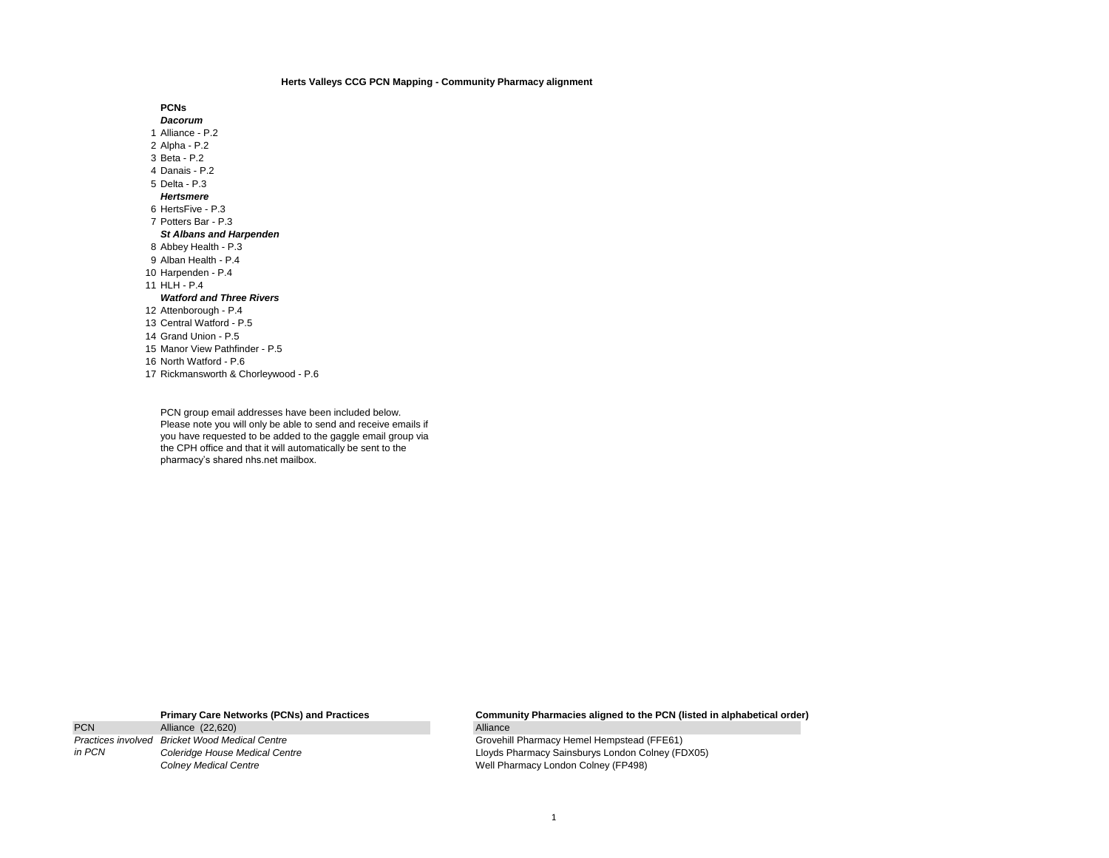## **Herts Valleys CCG PCN Mapping - Community Pharmacy alignment**

**PCNs** *Dacorum* Alliance - P.2 Alpha - P.2 Beta - P.2 Danais - P.2 Delta - P.3 *Hertsmere* HertsFive - P.3 Potters Bar - P.3 *St Albans and Harpenden* Abbey Health - P.3 Alban Health - P.4 Harpenden - P.4 HLH - P.4 *Watford and Three Rivers* Attenborough - P.4 Central Watford - P.5 Grand Union - P.5 Manor View Pathfinder - P.5 North Watford - P.6 Rickmansworth & Chorleywood - P.6

PCN group email addresses have been included below. Please note you will only be able to send and receive emails if you have requested to be added to the gaggle email group via the CPH office and that it will automatically be sent to the pharmacy's shared nhs.net mailbox.

PCN Alliance (22,620) *Practices involved in PCN*

**Primary Care Networks (PCNs) and Practices Community Pharmacies aligned to the PCN (listed in alphabetical order)**

**Brovehill Pharmacy Hemel Hempstead (FFE61)** *Coleridge House Medical Centre* Lloyds Pharmacy Sainsburys London Colney (FDX05) **Colney Medical Centre Colney Medical Centre** Medical Centre **Medical Centre** Medical Centre **Medical Centre** Medical Centre Medical Centre Medical Centre Medical Centre Medical Centre Medical Centre Medical Centre Medic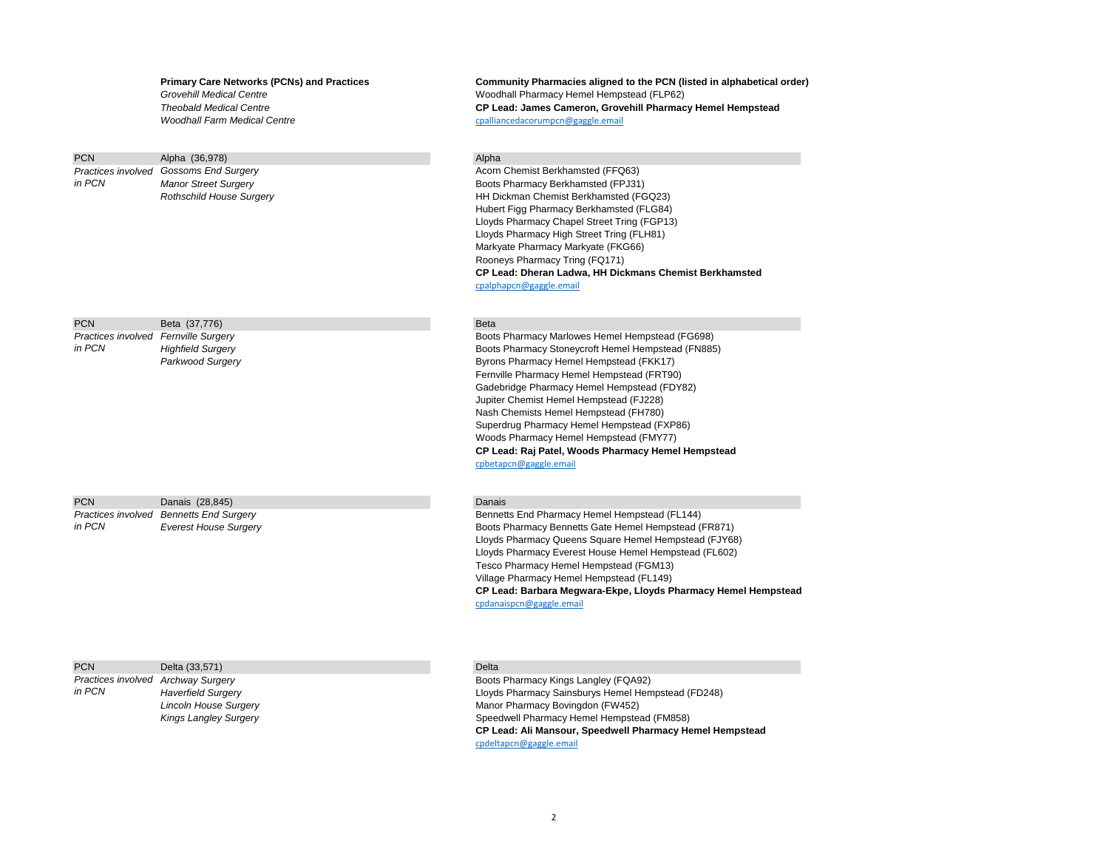### **Primary Care Networks (PCNs) and Practices Community Pharmacies aligned to the PCN (listed in alphabetical order)**

**Grovehill Medical Centre Mateurst 2008** 2014 Moodhall Pharmacy Hemel Hempstead (FLP62) *Theobald Medical Centre* **CP Lead: James Cameron, Grovehill Pharmacy Hemel Hempstead** *Woodhall Farm Medical Centre* [cpalliancedacorumpcn@gaggle.email](mailto:cpalliancedacorumpcn@gaggle.email)

| <b>PCN</b> | Alpha (36,978)                         | Alpha            |
|------------|----------------------------------------|------------------|
|            | Practices involved Gossoms End Surgery | Acorn            |
| in PCN     | <b>Manor Street Surgery</b>            | <b>Boots</b>     |
|            | <b>Rothschild House Surgery</b>        | HH D             |
|            |                                        | Hube             |
|            |                                        | Lloyd:           |
|            |                                        | Lloyd:           |
|            |                                        | Marky            |
|            |                                        | R <sub>oon</sub> |

# PCN Beta (37,776) Beta (37,776) *Practices involved*

*in PCN*

| <b>PCN</b> | Danais (28,845)                         | Danais  |
|------------|-----------------------------------------|---------|
|            | Practices involved Bennetts End Surgery | Bennett |
| in PCN     | <b>Everest House Surgery</b>            | Boots P |

# PCN Delta (33,571) Delta (33,571)

*Practices involved in PCN*

Acorn Chemist Berkhamsted (FFQ63) **Boots Pharmacy Berkhamsted (FPJ31) HH Dickman Chemist Berkhamsted (FGQ23)** Hubert Figg Pharmacy Berkhamsted (FLG84) Lloyds Pharmacy Chapel Street Tring (FGP13) Lloyds Pharmacy High Street Tring (FLH81) Markyate Pharmacy Markyate (FKG66) Rooneys Pharmacy Tring (FQ171) **CP Lead: Dheran Ladwa, HH Dickmans Chemist Berkhamsted** [cpalphapcn@gaggle.email](mailto:cpalphapcn@gaggle.email)

**Boots Pharmacy Marlowes Hemel Hempstead (FG698)** *Highfield Surgery* Boots Pharmacy Stoneycroft Hemel Hempstead (FN885) Parkwood Surgery **Byrons Pharmacy Hemel Hempstead (FKK17)** Byrons Pharmacy Hemel Hempstead (FKK17) Fernville Pharmacy Hemel Hempstead (FRT90) Gadebridge Pharmacy Hemel Hempstead (FDY82) Jupiter Chemist Hemel Hempstead (FJ228) Nash Chemists Hemel Hempstead (FH780) Superdrug Pharmacy Hemel Hempstead (FXP86) Woods Pharmacy Hemel Hempstead (FMY77) **CP Lead: Raj Patel, Woods Pharmacy Hemel Hempstead** [cpbetapcn@gaggle.email](mailto:cpbetapcn@gaggle.email)

**Bennetts End Pharmacy Hemel Hempstead (FL144) Boots Pharmacy Bennetts Gate Hemel Hempstead (FR871)** Lloyds Pharmacy Queens Square Hemel Hempstead (FJY68) Lloyds Pharmacy Everest House Hemel Hempstead (FL602) Tesco Pharmacy Hemel Hempstead (FGM13) Village Pharmacy Hemel Hempstead (FL149) **CP Lead: Barbara Megwara-Ekpe, Lloyds Pharmacy Hemel Hempstead** [cpdanaispcn@gaggle.email](mailto:cpdanaispcn@gaggle.email)

Boots Pharmacy Kings Langley (FQA92) *Haverfield Surgery* Lloyds Pharmacy Sainsburys Hemel Hempstead (FD248) *Lincoln House Surgery* Manor Pharmacy Bovingdon (FW452) Kings Langley Surgery **Surgery** Speedwell Pharmacy Hemel Hempstead (FM858) **CP Lead: Ali Mansour, Speedwell Pharmacy Hemel Hempstead** [cpdeltapcn@gaggle.email](mailto:cpdeltapcn@gaggle.email)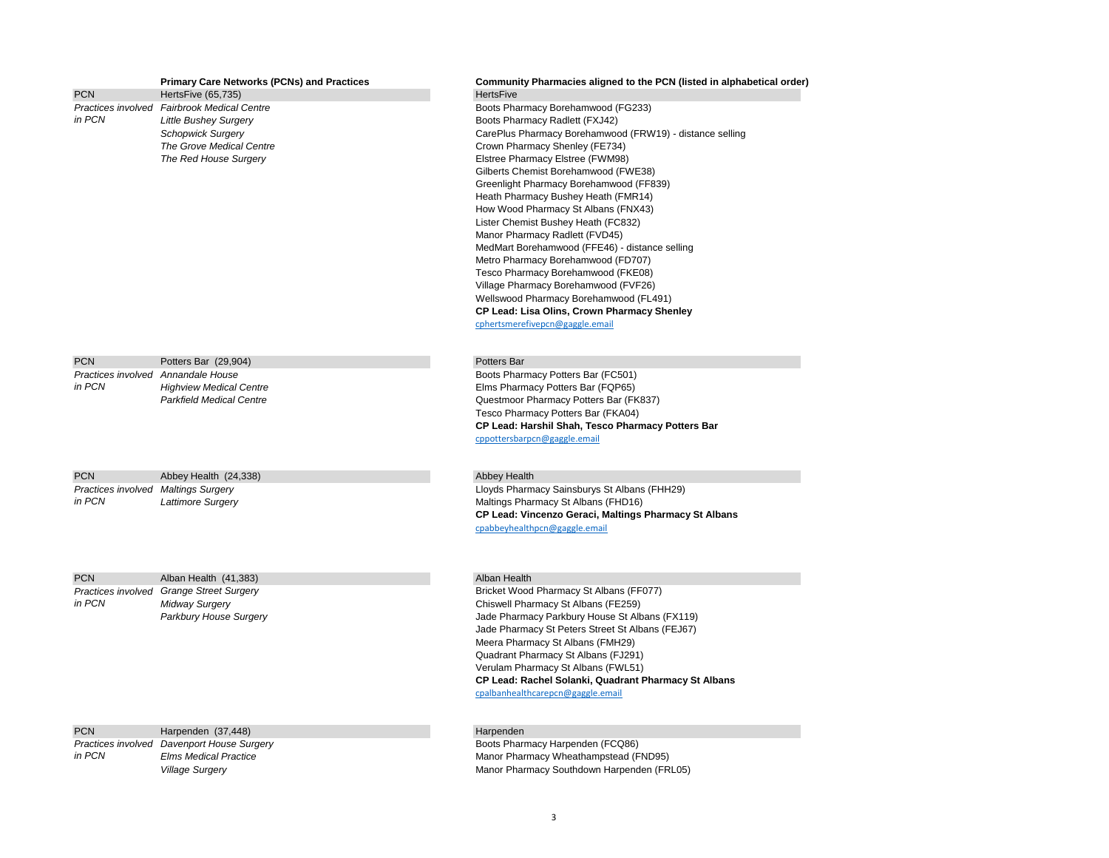| <b>PCN</b>                          | <b>Primary Care Networks (PCNs) and Practices</b><br>HertsFive (65,735) | Community Pharmacies aligned to the PCN (listed in alphabetical order)<br><b>HertsFive</b> |
|-------------------------------------|-------------------------------------------------------------------------|--------------------------------------------------------------------------------------------|
|                                     | Practices involved Fairbrook Medical Centre                             | Boots Pharmacy Borehamwood (FG233)                                                         |
| in PCN                              | <b>Little Bushey Surgery</b>                                            | Boots Pharmacy Radlett (FXJ42)                                                             |
|                                     | <b>Schopwick Surgery</b>                                                | CarePlus Pharmacy Borehamwood (FRW19) - distance selling                                   |
|                                     | The Grove Medical Centre                                                | Crown Pharmacy Shenley (FE734)                                                             |
|                                     | The Red House Surgery                                                   | Elstree Pharmacy Elstree (FWM98)                                                           |
|                                     |                                                                         | Gilberts Chemist Borehamwood (FWE38)                                                       |
|                                     |                                                                         | Greenlight Pharmacy Borehamwood (FF839)                                                    |
|                                     |                                                                         | Heath Pharmacy Bushey Heath (FMR14)                                                        |
|                                     |                                                                         | How Wood Pharmacy St Albans (FNX43)                                                        |
|                                     |                                                                         | Lister Chemist Bushey Heath (FC832)                                                        |
|                                     |                                                                         | Manor Pharmacy Radlett (FVD45)                                                             |
|                                     |                                                                         | MedMart Borehamwood (FFE46) - distance selling                                             |
|                                     |                                                                         |                                                                                            |
|                                     |                                                                         | Metro Pharmacy Borehamwood (FD707)<br>Tesco Pharmacy Borehamwood (FKE08)                   |
|                                     |                                                                         | Village Pharmacy Borehamwood (FVF26)                                                       |
|                                     |                                                                         |                                                                                            |
|                                     |                                                                         | Wellswood Pharmacy Borehamwood (FL491)                                                     |
|                                     |                                                                         | CP Lead: Lisa Olins, Crown Pharmacy Shenley<br>cphertsmerefivepcn@gaggle.email             |
|                                     |                                                                         |                                                                                            |
| <b>PCN</b>                          | Potters Bar (29,904)                                                    | Potters Bar                                                                                |
|                                     | Practices involved Annandale House                                      | Boots Pharmacy Potters Bar (FC501)                                                         |
| in PCN                              | <b>Highview Medical Centre</b>                                          | Elms Pharmacy Potters Bar (FQP65)                                                          |
|                                     | <b>Parkfield Medical Centre</b>                                         | Questmoor Pharmacy Potters Bar (FK837)                                                     |
|                                     |                                                                         | Tesco Pharmacy Potters Bar (FKA04)                                                         |
|                                     |                                                                         | CP Lead: Harshil Shah, Tesco Pharmacy Potters Bar                                          |
|                                     |                                                                         | cppottersbarpcn@gaggle.email                                                               |
|                                     |                                                                         |                                                                                            |
| <b>PCN</b>                          | Abbey Health (24,338)                                                   | <b>Abbey Health</b>                                                                        |
| Practices involved Maltings Surgery |                                                                         | Lloyds Pharmacy Sainsburys St Albans (FHH29)                                               |
| in PCN                              | Lattimore Surgery                                                       | Maltings Pharmacy St Albans (FHD16)                                                        |
|                                     |                                                                         | CP Lead: Vincenzo Geraci, Maltings Pharmacy St Albans                                      |
|                                     |                                                                         | cpabbeyhealthpcn@gaggle.email                                                              |
|                                     |                                                                         |                                                                                            |
| <b>PCN</b>                          | Alban Health (41,383)                                                   | Alban Health                                                                               |
|                                     | Practices involved Grange Street Surgery                                | Bricket Wood Pharmacy St Albans (FF077)                                                    |
| in PCN                              | <b>Midway Surgery</b>                                                   | Chiswell Pharmacy St Albans (FE259)                                                        |
|                                     | Parkbury House Surgery                                                  | Jade Pharmacy Parkbury House St Albans (FX119)                                             |
|                                     |                                                                         | Jade Pharmacy St Peters Street St Albans (FEJ67)                                           |
|                                     |                                                                         | Meera Pharmacy St Albans (FMH29)                                                           |
|                                     |                                                                         | Quadrant Pharmacy St Albans (FJ291)                                                        |
|                                     |                                                                         | Verulam Pharmacy St Albans (FWL51)                                                         |
|                                     |                                                                         | CP Lead: Rachel Solanki, Quadrant Pharmacy St Albans                                       |
|                                     |                                                                         | cpalbanhealthcarepcn@gaggle.email                                                          |
|                                     |                                                                         |                                                                                            |
|                                     |                                                                         |                                                                                            |

PCN Harpenden (37,448) Harpenden *Practices involved in PCN*

**Davenport House Surgery Boots Pharmacy Harpenden (FCQ86)**<br>
Elms Medical Practice **Boots Pharmacy Wheathampstead (F** *Elms Medical Practice* Manor Pharmacy Wheathampstead (FND95) Village Surgery **Manual Accord Provident Control of Control Control Control Control Control Control Control Control Control Of Manual Accord Control Of Manual Accord Control Of Manual Accord Control Of Manual Accord Contro**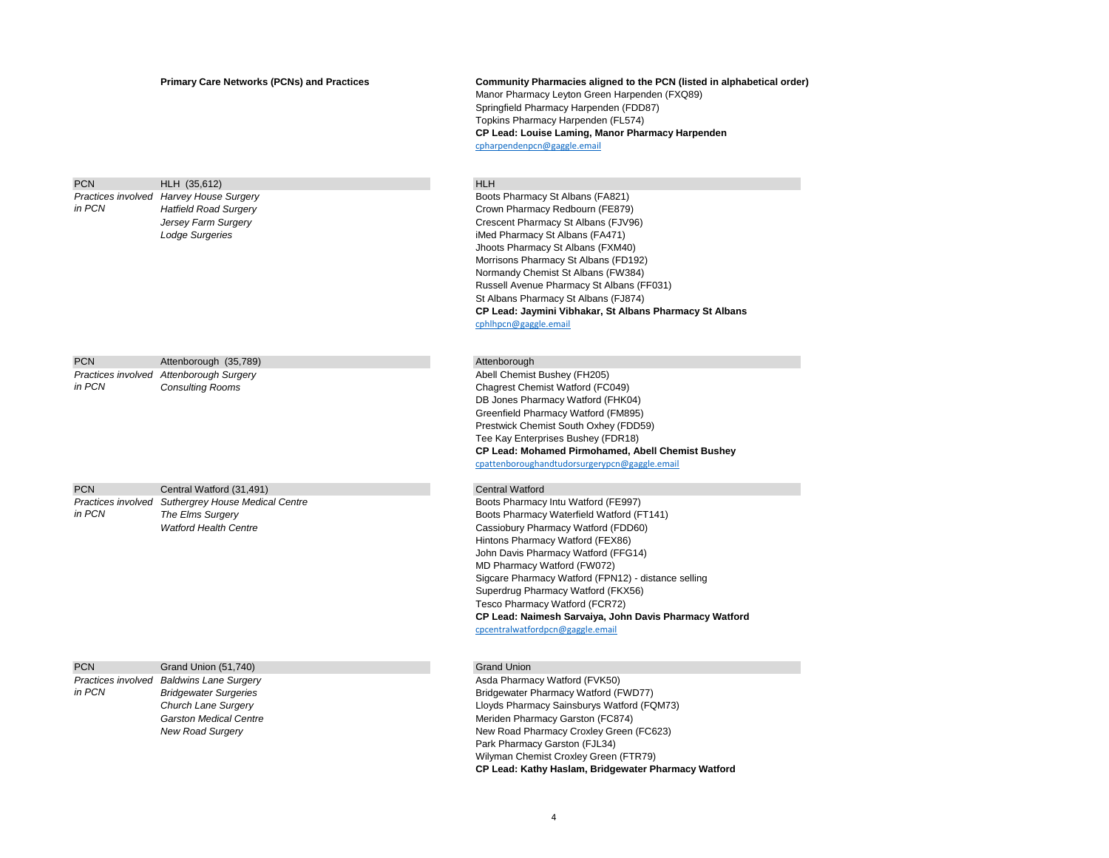# **Primary Care Networks (PCNs) and Practices Community Pharmacies aligned to the PCN (listed in alphabetical order)**

# PCN HLH (35.612) HLH (37.612) *Practices involved in PCN*

| <b>PCN</b> | Attenborough (35,789)                                              |
|------------|--------------------------------------------------------------------|
| in PCN     | Practices involved Attenborough Surgery<br><b>Consulting Rooms</b> |
|            |                                                                    |

| <b>PCN</b> | Central Watford (31,491)                          |
|------------|---------------------------------------------------|
|            | Practices involved Suthergrey House Medical Centr |
| in PCN     | The Elms Surgery                                  |
|            | <b>Watford Health Centre</b>                      |

| <b>PCN</b> | Grand Union (51,740)                     | <b>Grand Union</b> |
|------------|------------------------------------------|--------------------|
|            | Practices involved Baldwins Lane Surgery | Asda Pharma        |
| in PCN     | <b>Bridgewater Surgeries</b>             | Bridgewater        |
|            | Church Lane Surgery                      | Lloyds Pharr       |
|            | <b>Garston Medical Centre</b>            | Meriden Pha        |
|            | <b>New Road Surgery</b>                  | New Road P         |
|            |                                          |                    |

Manor Pharmacy Leyton Green Harpenden (FXQ89) Springfield Pharmacy Harpenden (FDD87) Topkins Pharmacy Harpenden (FL574) **CP Lead: Louise Laming, Manor Pharmacy Harpenden** [cpharpendenpcn@gaggle.email](mailto:cpharpendenpcn@gaggle.email)

**Boots Pharmacy St Albans (FA821)** *Hatfield Road Surgery* Crown Pharmacy Redbourn (FE879) *Jersey Farm Surgery* **Crescent Pharmacy St Albans (FJV96)** Crescent Pharmacy St Albans (FJV96) **Lodge Surgeries iMed Pharmacy St Albans (FA471)** Jhoots Pharmacy St Albans (FXM40) Morrisons Pharmacy St Albans (FD192) Normandy Chemist St Albans (FW384) Russell Avenue Pharmacy St Albans (FF031) St Albans Pharmacy St Albans (FJ874) **CP Lead: Jaymini Vibhakar, St Albans Pharmacy St Albans** [cphlhpcn@gaggle.email](mailto:cphlhpcn@gaggle.email)

### Attenborough

Abell Chemist Bushey (FH205) Chagrest Chemist Watford (FC049) DB Jones Pharmacy Watford (FHK04) Greenfield Pharmacy Watford (FM895) Prestwick Chemist South Oxhey (FDD59) Tee Kay Enterprises Bushey (FDR18) **CP Lead: Mohamed Pirmohamed, Abell Chemist Bushey** [cpattenboroughandtudorsurgerypcn@gaggle.email](mailto:cpattenboroughandtudorsurgerypcn@gaggle.email)

## **Central Watford**

**Summacy Intu Watford (FE997)** Boots Pharmacy Intu Watford (FE997) **Boots Pharmacy Waterfield Watford (FT141)** Cassiobury Pharmacy Watford (FDD60) Hintons Pharmacy Watford (FEX86) John Davis Pharmacy Watford (FFG14) MD Pharmacy Watford (FW072) Sigcare Pharmacy Watford (FPN12) - distance selling Superdrug Pharmacy Watford (FKX56) Tesco Pharmacy Watford (FCR72) **CP Lead: Naimesh Sarvaiya, John Davis Pharmacy Watford** [cpcentralwatfordpcn@gaggle.email](mailto:cpcentralwatfordpcn@gaggle.email)

Asda Pharmacy Watford (FVK50) **Bridgewater Pharmacy Watford (FWD77)** *Church Lane Surgery* Lloyds Pharmacy Sainsburys Watford (FQM73) **Meriden Pharmacy Garston (FC874) New Road Pharmacy Croxley Green (FC623)** Park Pharmacy Garston (FJL34) Wilyman Chemist Croxley Green (FTR79) **CP Lead: Kathy Haslam, Bridgewater Pharmacy Watford**